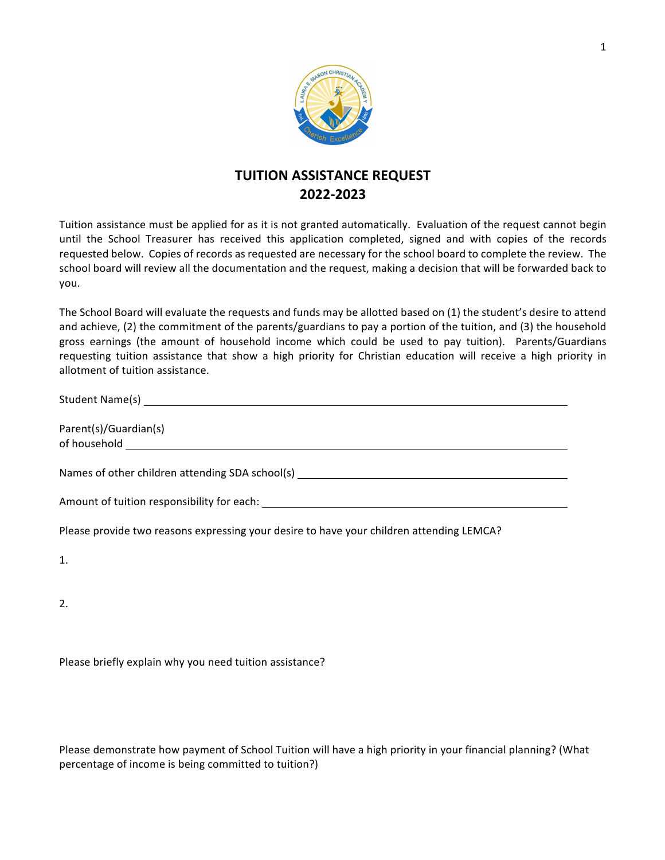

## **TUITION ASSISTANCE REQUEST 2022-2023**

Tuition assistance must be applied for as it is not granted automatically. Evaluation of the request cannot begin until the School Treasurer has received this application completed, signed and with copies of the records requested below. Copies of records as requested are necessary for the school board to complete the review. The school board will review all the documentation and the request, making a decision that will be forwarded back to you.

The School Board will evaluate the requests and funds may be allotted based on (1) the student's desire to attend and achieve, (2) the commitment of the parents/guardians to pay a portion of the tuition, and (3) the household gross earnings (the amount of household income which could be used to pay tuition). Parents/Guardians requesting tuition assistance that show a high priority for Christian education will receive a high priority in allotment of tuition assistance.

| Parent(s)/Guardian(s)                                                                    |
|------------------------------------------------------------------------------------------|
| Names of other children attending SDA school(s) ________________________________         |
|                                                                                          |
| Please provide two reasons expressing your desire to have your children attending LEMCA? |
| 1.                                                                                       |

2.

Please briefly explain why you need tuition assistance?

Please demonstrate how payment of School Tuition will have a high priority in your financial planning? (What percentage of income is being committed to tuition?)